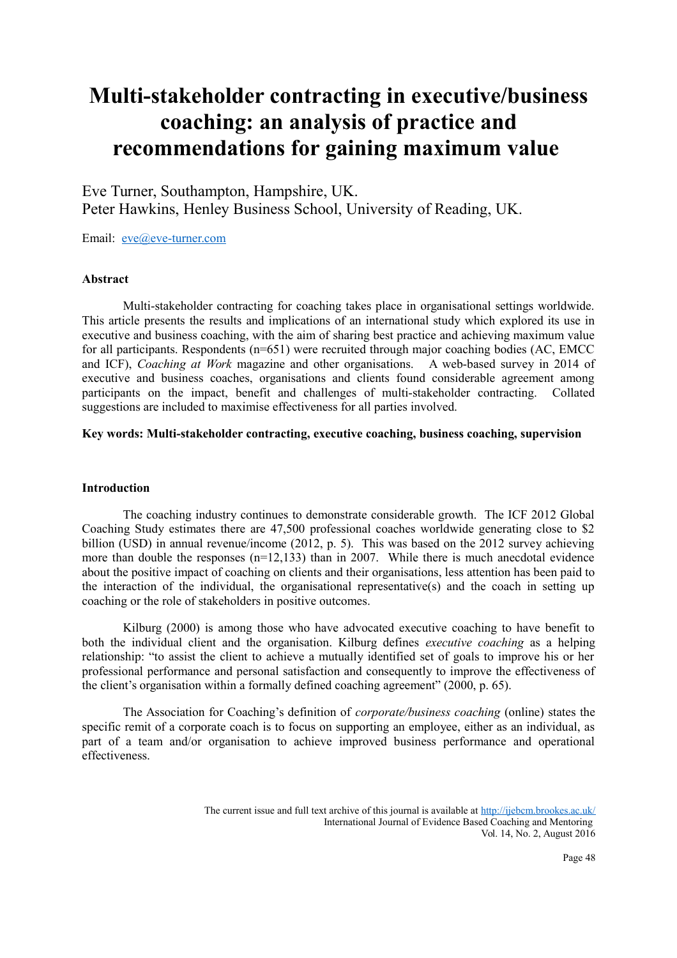# **Multi-stakeholder contracting in executive/business coaching: an analysis of practice and recommendations for gaining maximum value**

Eve Turner, Southampton, Hampshire, UK. Peter Hawkins, Henley Business School, University of Reading, UK.

Email: [eve@eve-turner.com](mailto:eve@eve-turner.com)

## **Abstract**

Multi-stakeholder contracting for coaching takes place in organisational settings worldwide. This article presents the results and implications of an international study which explored its use in executive and business coaching, with the aim of sharing best practice and achieving maximum value for all participants. Respondents (n=651) were recruited through major coaching bodies (AC, EMCC and ICF), *Coaching at Work* magazine and other organisations. A web-based survey in 2014 of executive and business coaches, organisations and clients found considerable agreement among participants on the impact, benefit and challenges of multi-stakeholder contracting. Collated suggestions are included to maximise effectiveness for all parties involved.

## **Key words: Multi-stakeholder contracting, executive coaching, business coaching, supervision**

#### **Introduction**

 The coaching industry continues to demonstrate considerable growth. The ICF 2012 Global Coaching Study estimates there are 47,500 professional coaches worldwide generating close to \$2 billion (USD) in annual revenue/income (2012, p. 5). This was based on the 2012 survey achieving more than double the responses (n=12,133) than in 2007. While there is much anecdotal evidence about the positive impact of coaching on clients and their organisations, less attention has been paid to the interaction of the individual, the organisational representative(s) and the coach in setting up coaching or the role of stakeholders in positive outcomes.

 Kilburg (2000) is among those who have advocated executive coaching to have benefit to both the individual client and the organisation. Kilburg defines *executive coaching* as a helping relationship: "to assist the client to achieve a mutually identified set of goals to improve his or her professional performance and personal satisfaction and consequently to improve the effectiveness of the client's organisation within a formally defined coaching agreement" (2000, p. 65).

 The Association for Coaching's definition of *corporate/business coaching* (online) states the specific remit of a corporate coach is to focus on supporting an employee, either as an individual, as part of a team and/or organisation to achieve improved business performance and operational effectiveness.

The current issue and full text archive of this journal is available at<http://ijebcm.brookes.ac.uk/> International Journal of Evidence Based Coaching and Mentoring Vol. 14, No. 2, August 2016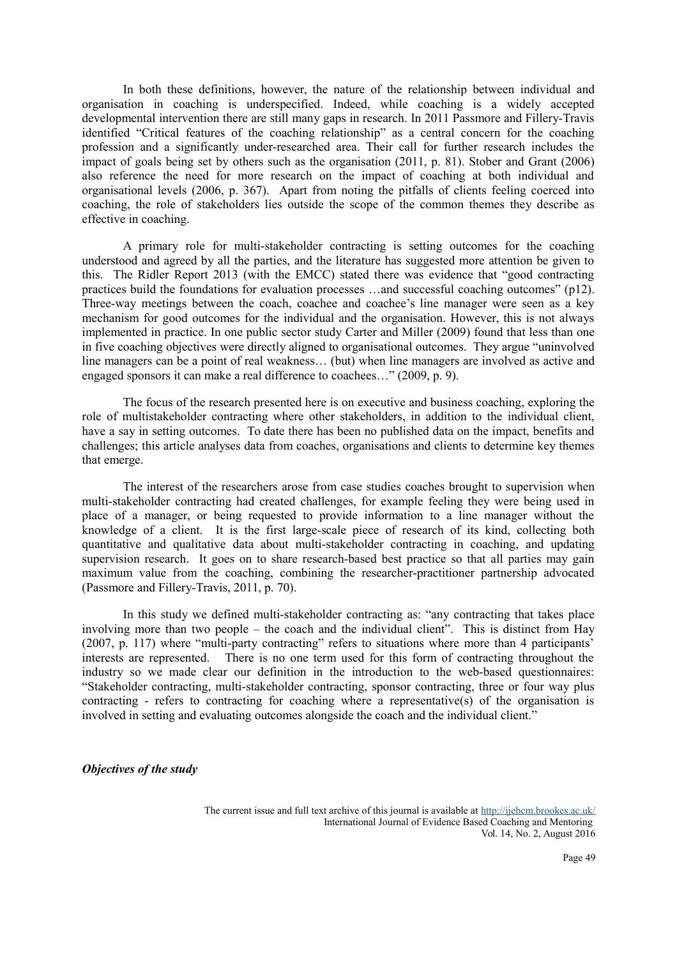In both these definitions, however, the nature of the relationship between individual and organisation in coaching is underspecified. Indeed, while coaching is a widely accepted developmental intervention there are still many gaps in research. In 2011 Passmore and Fillery-Travis identified "Critical features of the coaching relationship" as a central concern for the coaching profession and a significantly under-researched area. Their call for further research includes the impact of goals being set by others such as the organisation (2011, p. 81). Stober and Grant (2006) also reference the need for more research on the impact of coaching at both individual and organisational levels (2006, p. 367). Apart from noting the pitfalls of clients feeling coerced into coaching, the role of stakeholders lies outside the scope of the common themes they describe as effective in coaching.

 A primary role for multi-stakeholder contracting is setting outcomes for the coaching understood and agreed by all the parties, and the literature has suggested more attention be given to this. The Ridler Report 2013 (with the EMCC) stated there was evidence that "good contracting practices build the foundations for evaluation processes …and successful coaching outcomes" (p12). Three-way meetings between the coach, coachee and coachee's line manager were seen as a key mechanism for good outcomes for the individual and the organisation. However, this is not always implemented in practice. In one public sector study Carter and Miller (2009) found that less than one in five coaching objectives were directly aligned to organisational outcomes. They argue "uninvolved line managers can be a point of real weakness… (but) when line managers are involved as active and engaged sponsors it can make a real difference to coachees…" (2009, p. 9).

 The focus of the research presented here is on executive and business coaching, exploring the role of multistakeholder contracting where other stakeholders, in addition to the individual client, have a say in setting outcomes. To date there has been no published data on the impact, benefits and challenges; this article analyses data from coaches, organisations and clients to determine key themes that emerge.

 The interest of the researchers arose from case studies coaches brought to supervision when multi-stakeholder contracting had created challenges, for example feeling they were being used in place of a manager, or being requested to provide information to a line manager without the knowledge of a client. It is the first large-scale piece of research of its kind, collecting both quantitative and qualitative data about multi-stakeholder contracting in coaching, and updating supervision research. It goes on to share research-based best practice so that all parties may gain maximum value from the coaching, combining the researcher-practitioner partnership advocated (Passmore and Fillery-Travis, 2011, p. 70).

 In this study we defined multi-stakeholder contracting as: "any contracting that takes place involving more than two people – the coach and the individual client". This is distinct from Hay (2007, p. 117) where "multi-party contracting" refers to situations where more than 4 participants' interests are represented. There is no one term used for this form of contracting throughout the industry so we made clear our definition in the introduction to the web-based questionnaires: "Stakeholder contracting, multi-stakeholder contracting, sponsor contracting, three or four way plus contracting - refers to contracting for coaching where a representative(s) of the organisation is involved in setting and evaluating outcomes alongside the coach and the individual client."

*Objectives of the study*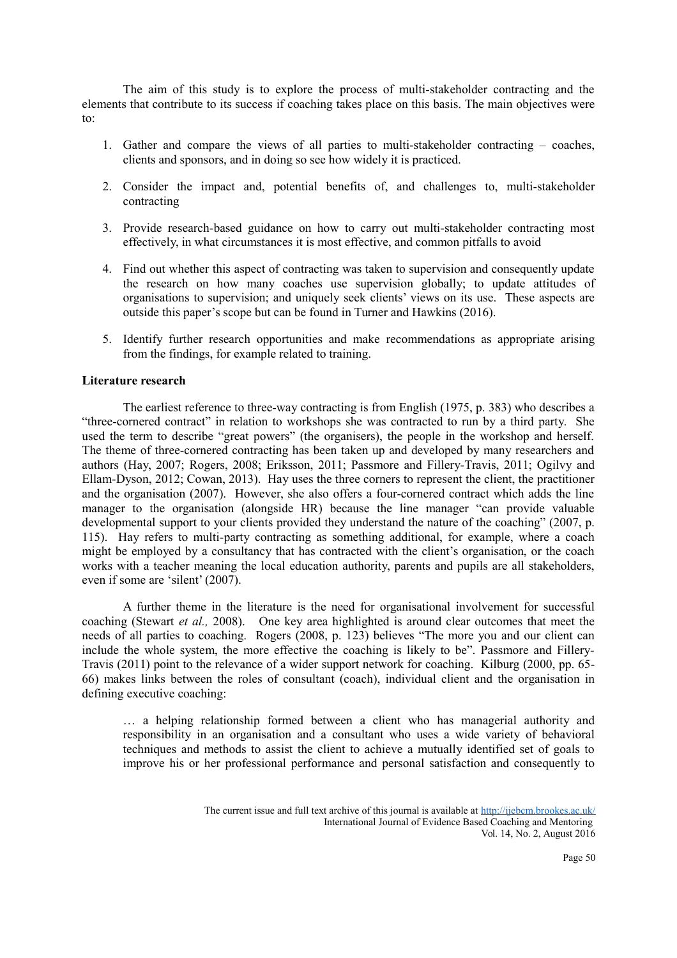The aim of this study is to explore the process of multi-stakeholder contracting and the elements that contribute to its success if coaching takes place on this basis. The main objectives were to:

- 1. Gather and compare the views of all parties to multi-stakeholder contracting coaches, clients and sponsors, and in doing so see how widely it is practiced.
- 2. Consider the impact and, potential benefits of, and challenges to, multi-stakeholder contracting
- 3. Provide research-based guidance on how to carry out multi-stakeholder contracting most effectively, in what circumstances it is most effective, and common pitfalls to avoid
- 4. Find out whether this aspect of contracting was taken to supervision and consequently update the research on how many coaches use supervision globally; to update attitudes of organisations to supervision; and uniquely seek clients' views on its use. These aspects are outside this paper's scope but can be found in Turner and Hawkins (2016).
- 5. Identify further research opportunities and make recommendations as appropriate arising from the findings, for example related to training.

## **Literature research**

 The earliest reference to three-way contracting is from English (1975, p. 383) who describes a "three-cornered contract" in relation to workshops she was contracted to run by a third party. She used the term to describe "great powers" (the organisers), the people in the workshop and herself. The theme of three-cornered contracting has been taken up and developed by many researchers and authors (Hay, 2007; Rogers, 2008; Eriksson, 2011; Passmore and Fillery-Travis, 2011; Ogilvy and Ellam-Dyson, 2012; Cowan, 2013). Hay uses the three corners to represent the client, the practitioner and the organisation (2007). However, she also offers a four-cornered contract which adds the line manager to the organisation (alongside HR) because the line manager "can provide valuable developmental support to your clients provided they understand the nature of the coaching" (2007, p. 115). Hay refers to multi-party contracting as something additional, for example, where a coach might be employed by a consultancy that has contracted with the client's organisation, or the coach works with a teacher meaning the local education authority, parents and pupils are all stakeholders, even if some are 'silent' (2007).

 A further theme in the literature is the need for organisational involvement for successful coaching (Stewart *et al.,* 2008). One key area highlighted is around clear outcomes that meet the needs of all parties to coaching. Rogers (2008, p. 123) believes "The more you and our client can include the whole system, the more effective the coaching is likely to be". Passmore and Fillery-Travis (2011) point to the relevance of a wider support network for coaching. Kilburg (2000, pp. 65- 66) makes links between the roles of consultant (coach), individual client and the organisation in defining executive coaching:

… a helping relationship formed between a client who has managerial authority and responsibility in an organisation and a consultant who uses a wide variety of behavioral techniques and methods to assist the client to achieve a mutually identified set of goals to improve his or her professional performance and personal satisfaction and consequently to

The current issue and full text archive of this journal is available at<http://ijebcm.brookes.ac.uk/> International Journal of Evidence Based Coaching and Mentoring Vol. 14, No. 2, August 2016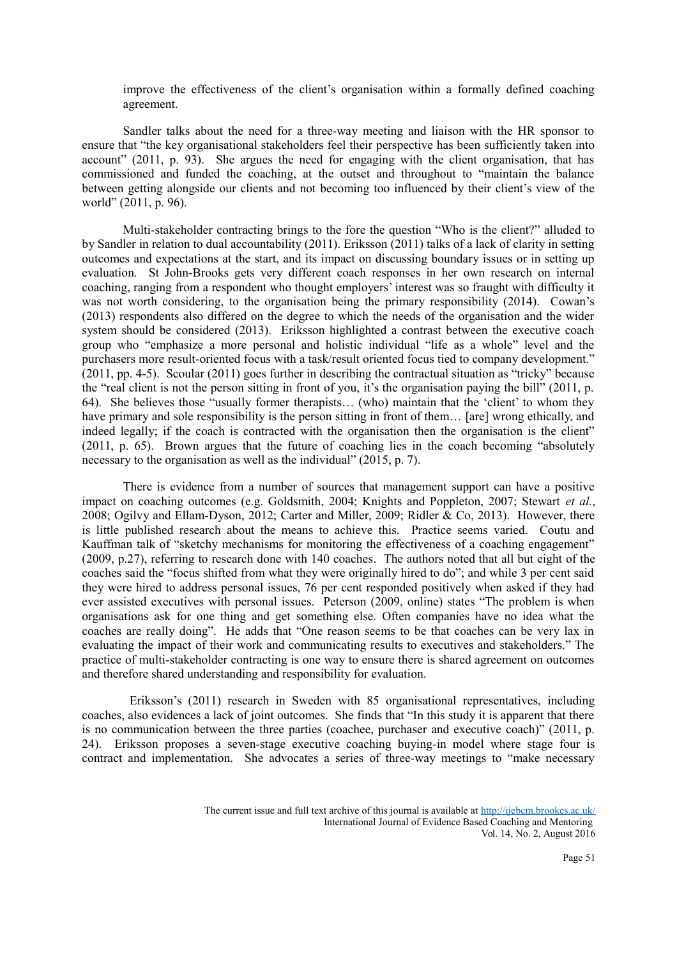improve the effectiveness of the client's organisation within a formally defined coaching agreement.

Sandler talks about the need for a three-way meeting and liaison with the HR sponsor to ensure that "the key organisational stakeholders feel their perspective has been sufficiently taken into account" (2011, p. 93). She argues the need for engaging with the client organisation, that has commissioned and funded the coaching, at the outset and throughout to "maintain the balance between getting alongside our clients and not becoming too influenced by their client's view of the world" (2011, p. 96).

 Multi-stakeholder contracting brings to the fore the question "Who is the client?" alluded to by Sandler in relation to dual accountability (2011). Eriksson (2011) talks of a lack of clarity in setting outcomes and expectations at the start, and its impact on discussing boundary issues or in setting up evaluation. St John-Brooks gets very different coach responses in her own research on internal coaching, ranging from a respondent who thought employers' interest was so fraught with difficulty it was not worth considering, to the organisation being the primary responsibility (2014). Cowan's (2013) respondents also differed on the degree to which the needs of the organisation and the wider system should be considered (2013). Eriksson highlighted a contrast between the executive coach group who "emphasize a more personal and holistic individual "life as a whole" level and the purchasers more result-oriented focus with a task/result oriented focus tied to company development." (2011, pp. 4-5). Scoular (2011) goes further in describing the contractual situation as "tricky" because the "real client is not the person sitting in front of you, it's the organisation paying the bill" (2011, p. 64). She believes those "usually former therapists… (who) maintain that the 'client' to whom they have primary and sole responsibility is the person sitting in front of them... [are] wrong ethically, and indeed legally; if the coach is contracted with the organisation then the organisation is the client" (2011, p. 65). Brown argues that the future of coaching lies in the coach becoming "absolutely necessary to the organisation as well as the individual" (2015, p. 7).

 There is evidence from a number of sources that management support can have a positive impact on coaching outcomes (e.g. Goldsmith, 2004; Knights and Poppleton, 2007; Stewart *et al.*, 2008; Ogilvy and Ellam-Dyson, 2012; Carter and Miller, 2009; Ridler & Co, 2013). However, there is little published research about the means to achieve this. Practice seems varied. Coutu and Kauffman talk of "sketchy mechanisms for monitoring the effectiveness of a coaching engagement" (2009, p.27), referring to research done with 140 coaches. The authors noted that all but eight of the coaches said the "focus shifted from what they were originally hired to do"; and while 3 per cent said they were hired to address personal issues, 76 per cent responded positively when asked if they had ever assisted executives with personal issues. Peterson (2009, online) states "The problem is when organisations ask for one thing and get something else. Often companies have no idea what the coaches are really doing". He adds that "One reason seems to be that coaches can be very lax in evaluating the impact of their work and communicating results to executives and stakeholders." The practice of multi-stakeholder contracting is one way to ensure there is shared agreement on outcomes and therefore shared understanding and responsibility for evaluation.

 Eriksson's (2011) research in Sweden with 85 organisational representatives, including coaches, also evidences a lack of joint outcomes. She finds that "In this study it is apparent that there is no communication between the three parties (coachee, purchaser and executive coach)" (2011, p. 24). Eriksson proposes a seven-stage executive coaching buying-in model where stage four is contract and implementation. She advocates a series of three-way meetings to "make necessary

The current issue and full text archive of this journal is available at<http://ijebcm.brookes.ac.uk/> International Journal of Evidence Based Coaching and Mentoring Vol. 14, No. 2, August 2016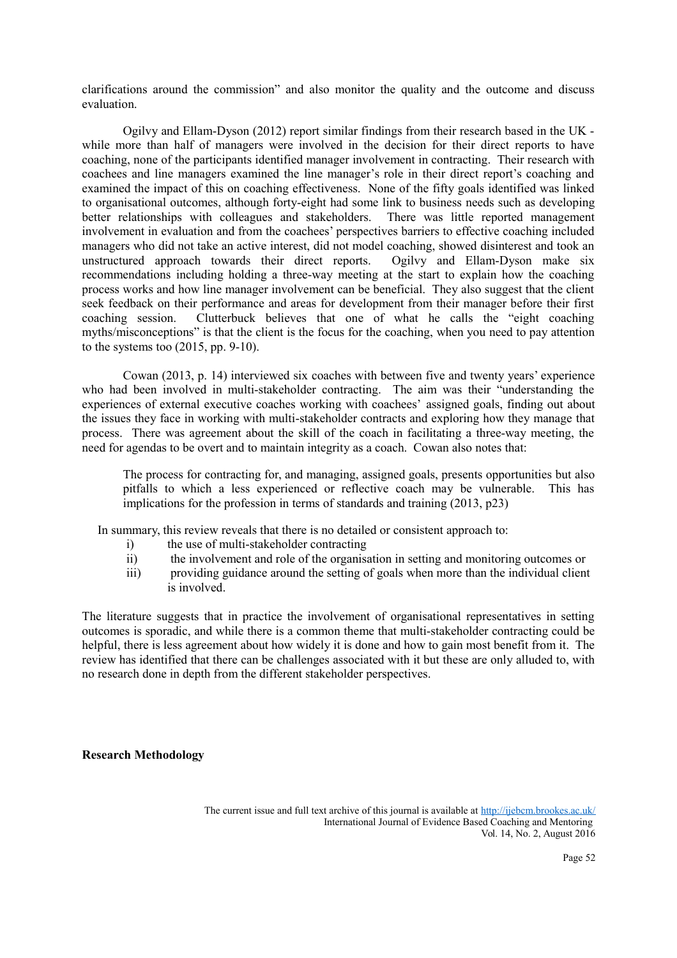clarifications around the commission" and also monitor the quality and the outcome and discuss evaluation.

 Ogilvy and Ellam-Dyson (2012) report similar findings from their research based in the UK while more than half of managers were involved in the decision for their direct reports to have coaching, none of the participants identified manager involvement in contracting. Their research with coachees and line managers examined the line manager's role in their direct report's coaching and examined the impact of this on coaching effectiveness. None of the fifty goals identified was linked to organisational outcomes, although forty-eight had some link to business needs such as developing better relationships with colleagues and stakeholders. There was little reported management involvement in evaluation and from the coachees' perspectives barriers to effective coaching included managers who did not take an active interest, did not model coaching, showed disinterest and took an unstructured approach towards their direct reports. Ogilvy and Ellam-Dyson make six recommendations including holding a three-way meeting at the start to explain how the coaching process works and how line manager involvement can be beneficial. They also suggest that the client seek feedback on their performance and areas for development from their manager before their first coaching session. Clutterbuck believes that one of what he calls the "eight coaching myths/misconceptions" is that the client is the focus for the coaching, when you need to pay attention to the systems too (2015, pp. 9-10).

 Cowan (2013, p. 14) interviewed six coaches with between five and twenty years' experience who had been involved in multi-stakeholder contracting. The aim was their "understanding the experiences of external executive coaches working with coachees' assigned goals, finding out about the issues they face in working with multi-stakeholder contracts and exploring how they manage that process. There was agreement about the skill of the coach in facilitating a three-way meeting, the need for agendas to be overt and to maintain integrity as a coach. Cowan also notes that:

The process for contracting for, and managing, assigned goals, presents opportunities but also pitfalls to which a less experienced or reflective coach may be vulnerable. This has implications for the profession in terms of standards and training (2013, p23)

In summary, this review reveals that there is no detailed or consistent approach to:

- i) the use of multi-stakeholder contracting
- ii) the involvement and role of the organisation in setting and monitoring outcomes or
- iii) providing guidance around the setting of goals when more than the individual client is involved.

The literature suggests that in practice the involvement of organisational representatives in setting outcomes is sporadic, and while there is a common theme that multi-stakeholder contracting could be helpful, there is less agreement about how widely it is done and how to gain most benefit from it. The review has identified that there can be challenges associated with it but these are only alluded to, with no research done in depth from the different stakeholder perspectives.

#### **Research Methodology**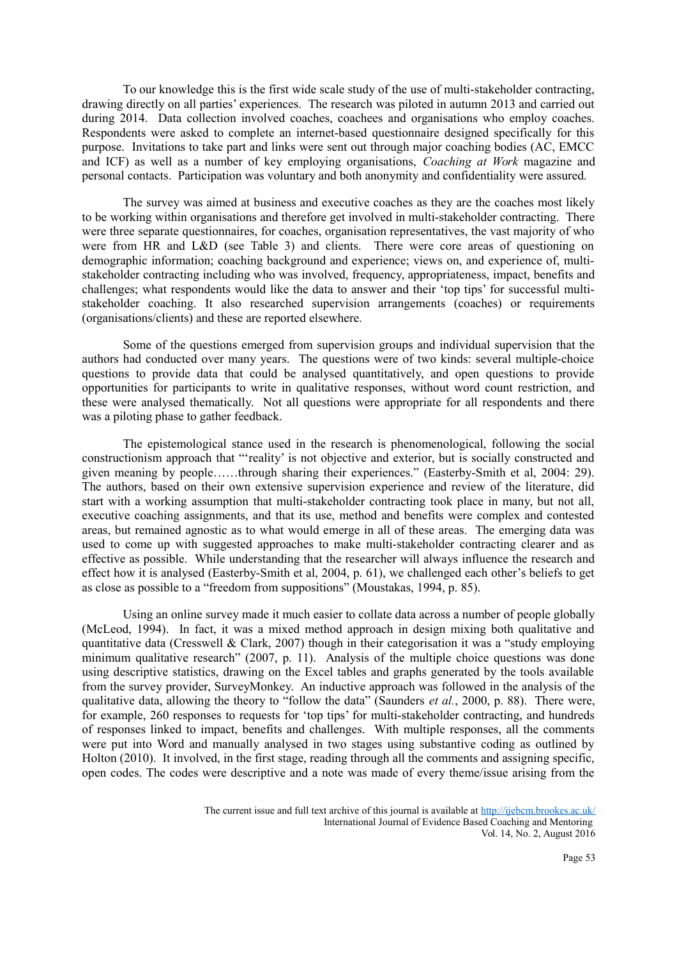To our knowledge this is the first wide scale study of the use of multi-stakeholder contracting, drawing directly on all parties' experiences. The research was piloted in autumn 2013 and carried out during 2014. Data collection involved coaches, coachees and organisations who employ coaches. Respondents were asked to complete an internet-based questionnaire designed specifically for this purpose. Invitations to take part and links were sent out through major coaching bodies (AC, EMCC and ICF) as well as a number of key employing organisations, *Coaching at Work* magazine and personal contacts. Participation was voluntary and both anonymity and confidentiality were assured.

 The survey was aimed at business and executive coaches as they are the coaches most likely to be working within organisations and therefore get involved in multi-stakeholder contracting. There were three separate questionnaires, for coaches, organisation representatives, the vast majority of who were from HR and L&D (see Table 3) and clients. There were core areas of questioning on demographic information; coaching background and experience; views on, and experience of, multistakeholder contracting including who was involved, frequency, appropriateness, impact, benefits and challenges; what respondents would like the data to answer and their 'top tips' for successful multistakeholder coaching. It also researched supervision arrangements (coaches) or requirements (organisations/clients) and these are reported elsewhere.

 Some of the questions emerged from supervision groups and individual supervision that the authors had conducted over many years. The questions were of two kinds: several multiple-choice questions to provide data that could be analysed quantitatively, and open questions to provide opportunities for participants to write in qualitative responses, without word count restriction, and these were analysed thematically. Not all questions were appropriate for all respondents and there was a piloting phase to gather feedback.

 The epistemological stance used in the research is phenomenological, following the social constructionism approach that "'reality' is not objective and exterior, but is socially constructed and given meaning by people……through sharing their experiences." (Easterby-Smith et al, 2004: 29). The authors, based on their own extensive supervision experience and review of the literature, did start with a working assumption that multi-stakeholder contracting took place in many, but not all, executive coaching assignments, and that its use, method and benefits were complex and contested areas, but remained agnostic as to what would emerge in all of these areas. The emerging data was used to come up with suggested approaches to make multi-stakeholder contracting clearer and as effective as possible. While understanding that the researcher will always influence the research and effect how it is analysed (Easterby-Smith et al, 2004, p. 61), we challenged each other's beliefs to get as close as possible to a "freedom from suppositions" (Moustakas, 1994, p. 85).

 Using an online survey made it much easier to collate data across a number of people globally (McLeod, 1994). In fact, it was a mixed method approach in design mixing both qualitative and quantitative data (Cresswell & Clark, 2007) though in their categorisation it was a "study employing minimum qualitative research" (2007, p. 11). Analysis of the multiple choice questions was done using descriptive statistics, drawing on the Excel tables and graphs generated by the tools available from the survey provider, SurveyMonkey. An inductive approach was followed in the analysis of the qualitative data, allowing the theory to "follow the data" (Saunders *et al.*, 2000, p. 88). There were, for example, 260 responses to requests for 'top tips' for multi-stakeholder contracting, and hundreds of responses linked to impact, benefits and challenges. With multiple responses, all the comments were put into Word and manually analysed in two stages using substantive coding as outlined by Holton (2010). It involved, in the first stage, reading through all the comments and assigning specific, open codes. The codes were descriptive and a note was made of every theme/issue arising from the

The current issue and full text archive of this journal is available at<http://ijebcm.brookes.ac.uk/> International Journal of Evidence Based Coaching and Mentoring Vol. 14, No. 2, August 2016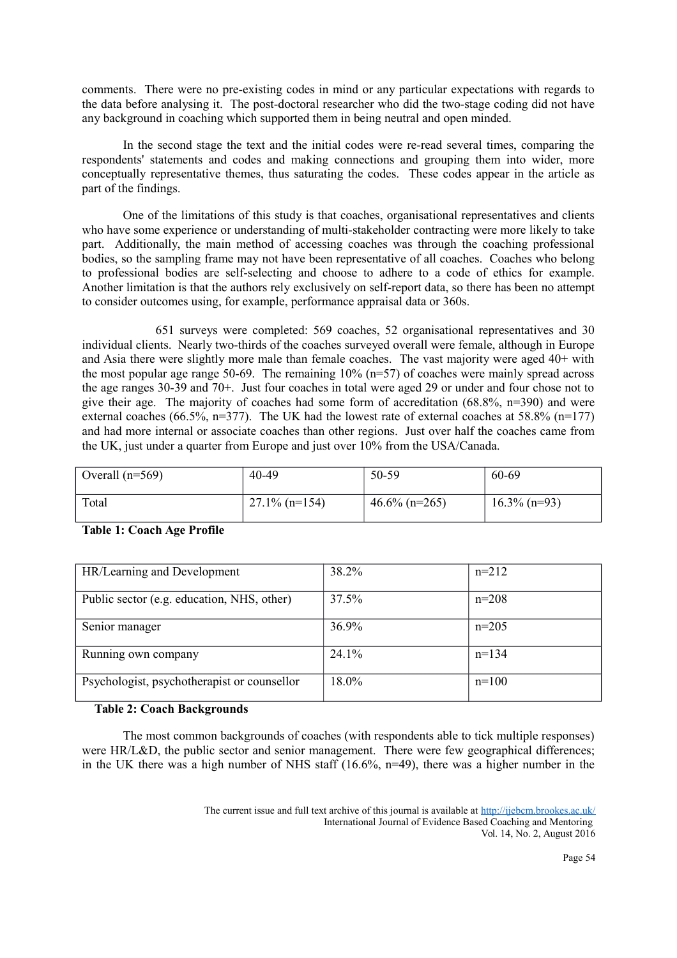comments. There were no pre-existing codes in mind or any particular expectations with regards to the data before analysing it. The post-doctoral researcher who did the two-stage coding did not have any background in coaching which supported them in being neutral and open minded.

 In the second stage the text and the initial codes were re-read several times, comparing the respondents' statements and codes and making connections and grouping them into wider, more conceptually representative themes, thus saturating the codes. These codes appear in the article as part of the findings.

 One of the limitations of this study is that coaches, organisational representatives and clients who have some experience or understanding of multi-stakeholder contracting were more likely to take part. Additionally, the main method of accessing coaches was through the coaching professional bodies, so the sampling frame may not have been representative of all coaches. Coaches who belong to professional bodies are self-selecting and choose to adhere to a code of ethics for example. Another limitation is that the authors rely exclusively on self-report data, so there has been no attempt to consider outcomes using, for example, performance appraisal data or 360s.

651 surveys were completed: 569 coaches, 52 organisational representatives and 30 individual clients. Nearly two-thirds of the coaches surveyed overall were female, although in Europe and Asia there were slightly more male than female coaches. The vast majority were aged 40+ with the most popular age range 50-69. The remaining  $10\%$  (n=57) of coaches were mainly spread across the age ranges 30-39 and 70+. Just four coaches in total were aged 29 or under and four chose not to give their age. The majority of coaches had some form of accreditation (68.8%, n=390) and were external coaches (66.5%, n=377). The UK had the lowest rate of external coaches at 58.8% (n=177) and had more internal or associate coaches than other regions. Just over half the coaches came from the UK, just under a quarter from Europe and just over 10% from the USA/Canada.

| Overall $(n=569)$ | 40-49            | 50-59            | 60-69           |
|-------------------|------------------|------------------|-----------------|
| Total             | $27.1\%$ (n=154) | $46.6\%$ (n=265) | $16.3\%$ (n=93) |

| HR/Learning and Development                 | 38.2% | $n=212$ |
|---------------------------------------------|-------|---------|
| Public sector (e.g. education, NHS, other)  | 37.5% | $n=208$ |
| Senior manager                              | 36.9% | $n=205$ |
| Running own company                         | 24.1% | $n=134$ |
| Psychologist, psychotherapist or counsellor | 18.0% | $n=100$ |

## **Table 1: Coach Age Profile**

#### **Table 2: Coach Backgrounds**

 The most common backgrounds of coaches (with respondents able to tick multiple responses) were HR/L&D, the public sector and senior management. There were few geographical differences; in the UK there was a high number of NHS staff (16.6%, n=49), there was a higher number in the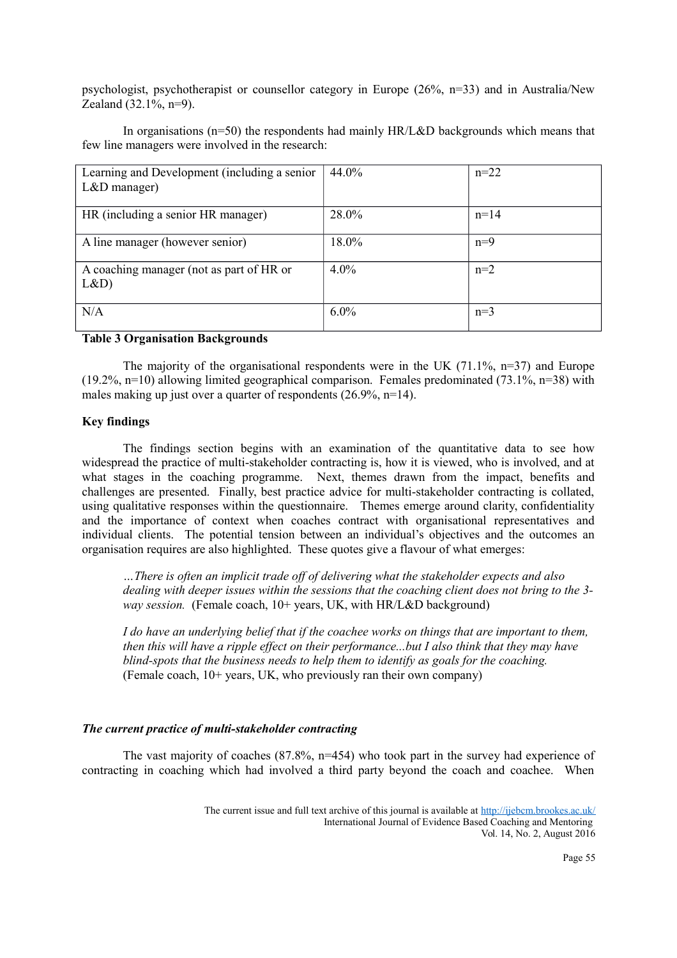psychologist, psychotherapist or counsellor category in Europe (26%, n=33) and in Australia/New Zealand (32.1%, n=9).

 In organisations (n=50) the respondents had mainly HR/L&D backgrounds which means that few line managers were involved in the research:

| Learning and Development (including a senior<br>$L&D$ manager) | 44.0%   | $n=22$ |
|----------------------------------------------------------------|---------|--------|
| HR (including a senior HR manager)                             | 28.0%   | $n=14$ |
| A line manager (however senior)                                | 18.0%   | $n=9$  |
| A coaching manager (not as part of HR or<br>L&D)               | $4.0\%$ | $n=2$  |
| N/A                                                            | $6.0\%$ | $n=3$  |

#### **Table 3 Organisation Backgrounds**

The majority of the organisational respondents were in the UK  $(71.1\%$ , n=37) and Europe (19.2%, n=10) allowing limited geographical comparison. Females predominated (73.1%, n=38) with males making up just over a quarter of respondents  $(26.9\% \text{ n} = 14)$ .

## **Key findings**

 The findings section begins with an examination of the quantitative data to see how widespread the practice of multi-stakeholder contracting is, how it is viewed, who is involved, and at what stages in the coaching programme. Next, themes drawn from the impact, benefits and challenges are presented. Finally, best practice advice for multi-stakeholder contracting is collated, using qualitative responses within the questionnaire. Themes emerge around clarity, confidentiality and the importance of context when coaches contract with organisational representatives and individual clients. The potential tension between an individual's objectives and the outcomes an organisation requires are also highlighted. These quotes give a flavour of what emerges:

*…There is often an implicit trade off of delivering what the stakeholder expects and also dealing with deeper issues within the sessions that the coaching client does not bring to the 3 way session.* (Female coach, 10+ years, UK, with HR/L&D background)

*I do have an underlying belief that if the coachee works on things that are important to them, then this will have a ripple effect on their performance...but I also think that they may have blind-spots that the business needs to help them to identify as goals for the coaching.* (Female coach, 10+ years, UK, who previously ran their own company)

## *The current practice of multi-stakeholder contracting*

The vast majority of coaches (87.8%, n=454) who took part in the survey had experience of contracting in coaching which had involved a third party beyond the coach and coachee. When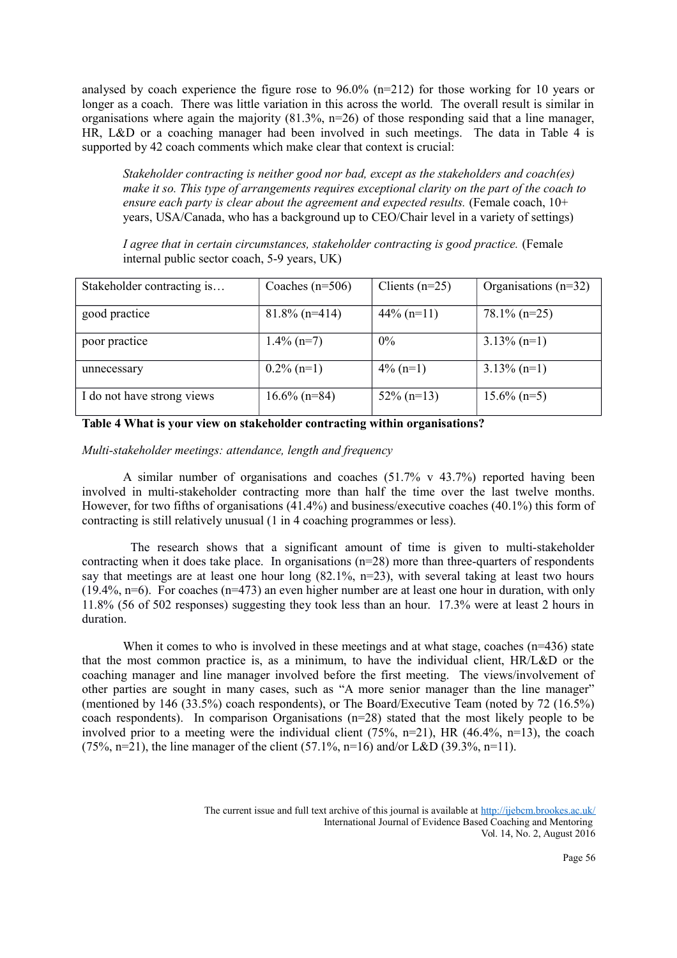analysed by coach experience the figure rose to  $96.0\%$  (n=212) for those working for 10 years or longer as a coach. There was little variation in this across the world. The overall result is similar in organisations where again the majority (81.3%, n=26) of those responding said that a line manager, HR, L&D or a coaching manager had been involved in such meetings. The data in Table 4 is supported by 42 coach comments which make clear that context is crucial:

*Stakeholder contracting is neither good nor bad, except as the stakeholders and coach(es) make it so. This type of arrangements requires exceptional clarity on the part of the coach to ensure each party is clear about the agreement and expected results.* (Female coach, 10+ years, USA/Canada, who has a background up to CEO/Chair level in a variety of settings)

*I agree that in certain circumstances, stakeholder contracting is good practice.* (Female internal public sector coach, 5-9 years, UK)

| Stakeholder contracting is | Coaches $(n=506)$ | Clients $(n=25)$ | Organisations $(n=32)$ |
|----------------------------|-------------------|------------------|------------------------|
| good practice              | $81.8\%$ (n=414)  | $44\%$ (n=11)    | $78.1\%$ (n=25)        |
| poor practice              | $1.4\%$ (n=7)     | $0\%$            | $3.13\%$ (n=1)         |
| unnecessary                | $0.2\%$ (n=1)     | $4\%$ (n=1)      | $3.13\%$ (n=1)         |
| I do not have strong views | $16.6\%$ (n=84)   | $52\%$ (n=13)    | $15.6\%$ (n=5)         |

## **Table 4 What is your view on stakeholder contracting within organisations?**

*Multi-stakeholder meetings: attendance, length and frequency*

 A similar number of organisations and coaches (51.7% v 43.7%) reported having been involved in multi-stakeholder contracting more than half the time over the last twelve months. However, for two fifths of organisations (41.4%) and business/executive coaches (40.1%) this form of contracting is still relatively unusual (1 in 4 coaching programmes or less).

 The research shows that a significant amount of time is given to multi-stakeholder contracting when it does take place. In organisations  $(n=28)$  more than three-quarters of respondents say that meetings are at least one hour long (82.1%, n=23), with several taking at least two hours  $(19.4\% \text{ n=6})$ . For coaches (n=473) an even higher number are at least one hour in duration, with only 11.8% (56 of 502 responses) suggesting they took less than an hour. 17.3% were at least 2 hours in duration.

When it comes to who is involved in these meetings and at what stage, coaches (n=436) state that the most common practice is, as a minimum, to have the individual client, HR/L&D or the coaching manager and line manager involved before the first meeting. The views/involvement of other parties are sought in many cases, such as "A more senior manager than the line manager" (mentioned by 146 (33.5%) coach respondents), or The Board/Executive Team (noted by 72 (16.5%) coach respondents). In comparison Organisations  $(n=28)$  stated that the most likely people to be involved prior to a meeting were the individual client  $(75\%, n=21)$ , HR  $(46.4\%, n=13)$ , the coach (75%, n=21), the line manager of the client (57.1%, n=16) and/or L&D (39.3%, n=11).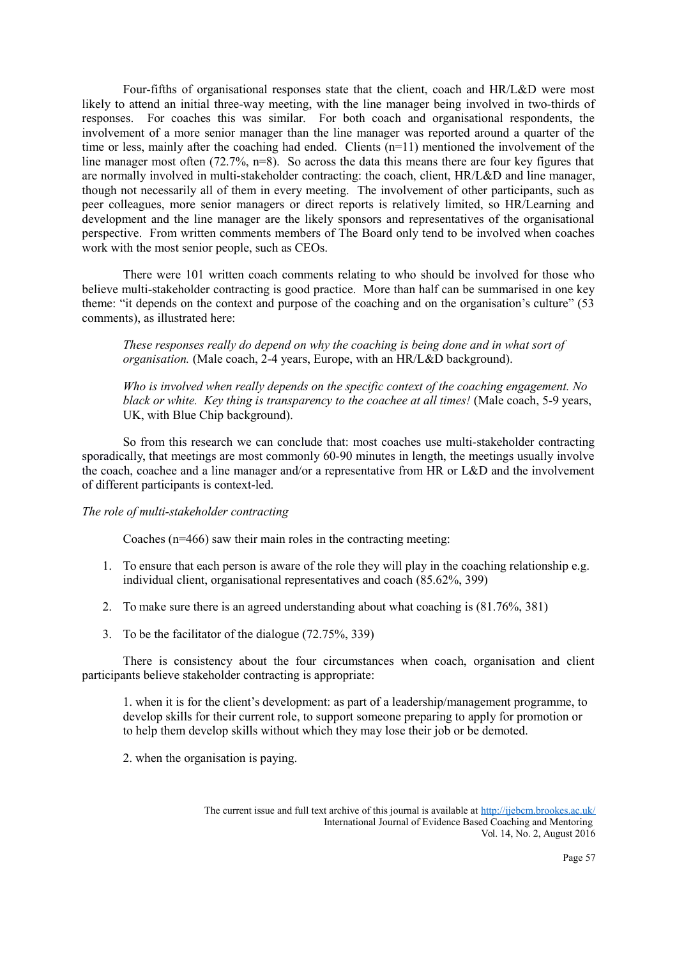Four-fifths of organisational responses state that the client, coach and HR/L&D were most likely to attend an initial three-way meeting, with the line manager being involved in two-thirds of responses. For coaches this was similar. For both coach and organisational respondents, the involvement of a more senior manager than the line manager was reported around a quarter of the time or less, mainly after the coaching had ended. Clients  $(n=11)$  mentioned the involvement of the line manager most often (72.7%, n=8). So across the data this means there are four key figures that are normally involved in multi-stakeholder contracting: the coach, client, HR/L&D and line manager, though not necessarily all of them in every meeting. The involvement of other participants, such as peer colleagues, more senior managers or direct reports is relatively limited, so HR/Learning and development and the line manager are the likely sponsors and representatives of the organisational perspective. From written comments members of The Board only tend to be involved when coaches work with the most senior people, such as CEOs.

 There were 101 written coach comments relating to who should be involved for those who believe multi-stakeholder contracting is good practice. More than half can be summarised in one key theme: "it depends on the context and purpose of the coaching and on the organisation's culture" (53 comments), as illustrated here:

*These responses really do depend on why the coaching is being done and in what sort of organisation.* (Male coach, 2-4 years, Europe, with an HR/L&D background).

*Who is involved when really depends on the specific context of the coaching engagement. No black or white. Key thing is transparency to the coachee at all times!* (Male coach, 5-9 years, UK, with Blue Chip background).

 So from this research we can conclude that: most coaches use multi-stakeholder contracting sporadically, that meetings are most commonly 60-90 minutes in length, the meetings usually involve the coach, coachee and a line manager and/or a representative from HR or L&D and the involvement of different participants is context-led.

#### *The role of multi-stakeholder contracting*

Coaches (n=466) saw their main roles in the contracting meeting:

- 1. To ensure that each person is aware of the role they will play in the coaching relationship e.g. individual client, organisational representatives and coach (85.62%, 399)
- 2. To make sure there is an agreed understanding about what coaching is (81.76%, 381)
- 3. To be the facilitator of the dialogue (72.75%, 339)

 There is consistency about the four circumstances when coach, organisation and client participants believe stakeholder contracting is appropriate:

1. when it is for the client's development: as part of a leadership/management programme, to develop skills for their current role, to support someone preparing to apply for promotion or to help them develop skills without which they may lose their job or be demoted.

2. when the organisation is paying.

The current issue and full text archive of this journal is available at<http://ijebcm.brookes.ac.uk/> International Journal of Evidence Based Coaching and Mentoring Vol. 14, No. 2, August 2016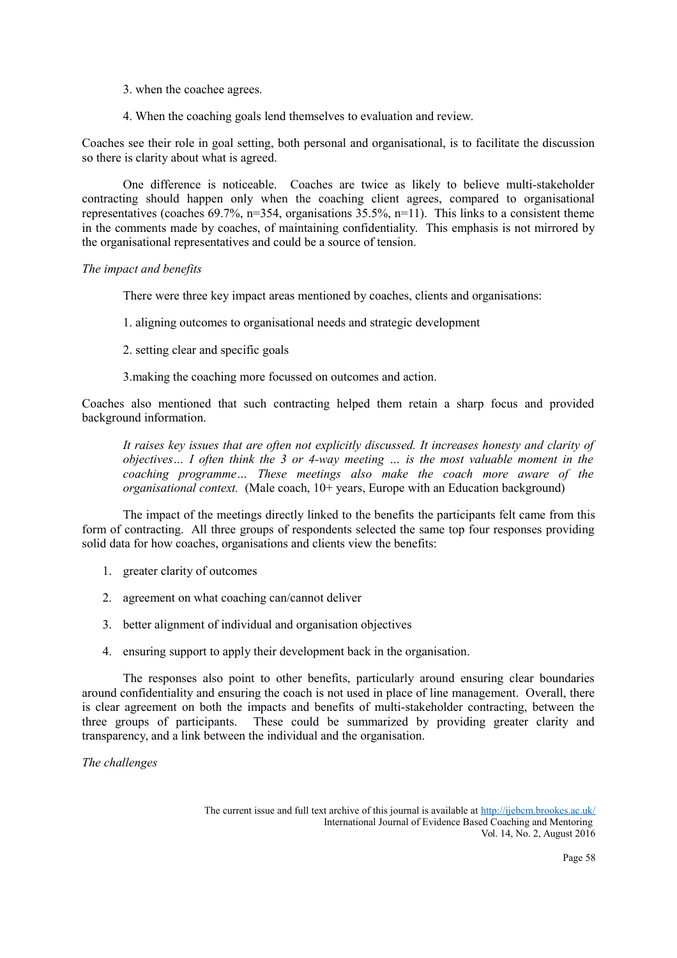- 3. when the coachee agrees.
- 4. When the coaching goals lend themselves to evaluation and review.

Coaches see their role in goal setting, both personal and organisational, is to facilitate the discussion so there is clarity about what is agreed.

 One difference is noticeable. Coaches are twice as likely to believe multi-stakeholder contracting should happen only when the coaching client agrees, compared to organisational representatives (coaches 69.7%,  $n=354$ , organisations 35.5%,  $n=11$ ). This links to a consistent theme in the comments made by coaches, of maintaining confidentiality. This emphasis is not mirrored by the organisational representatives and could be a source of tension.

## *The impact and benefits*

There were three key impact areas mentioned by coaches, clients and organisations:

- 1. aligning outcomes to organisational needs and strategic development
- 2. setting clear and specific goals

3.making the coaching more focussed on outcomes and action.

Coaches also mentioned that such contracting helped them retain a sharp focus and provided background information.

*It raises key issues that are often not explicitly discussed. It increases honesty and clarity of objectives… I often think the 3 or 4-way meeting … is the most valuable moment in the coaching programme… These meetings also make the coach more aware of the organisational context.* (Male coach, 10+ years, Europe with an Education background)

The impact of the meetings directly linked to the benefits the participants felt came from this form of contracting. All three groups of respondents selected the same top four responses providing solid data for how coaches, organisations and clients view the benefits:

- 1. greater clarity of outcomes
- 2. agreement on what coaching can/cannot deliver
- 3. better alignment of individual and organisation objectives
- 4. ensuring support to apply their development back in the organisation.

 The responses also point to other benefits, particularly around ensuring clear boundaries around confidentiality and ensuring the coach is not used in place of line management. Overall, there is clear agreement on both the impacts and benefits of multi-stakeholder contracting, between the three groups of participants. These could be summarized by providing greater clarity and transparency, and a link between the individual and the organisation.

*The challenges*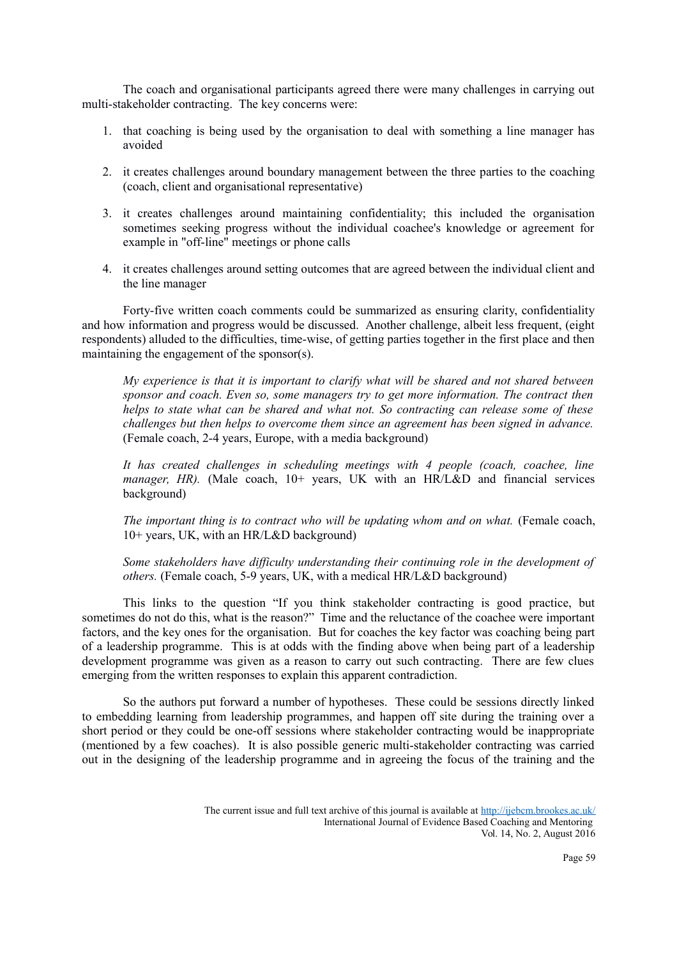The coach and organisational participants agreed there were many challenges in carrying out multi-stakeholder contracting. The key concerns were:

- 1. that coaching is being used by the organisation to deal with something a line manager has avoided
- 2. it creates challenges around boundary management between the three parties to the coaching (coach, client and organisational representative)
- 3. it creates challenges around maintaining confidentiality; this included the organisation sometimes seeking progress without the individual coachee's knowledge or agreement for example in "off-line" meetings or phone calls
- 4. it creates challenges around setting outcomes that are agreed between the individual client and the line manager

 Forty-five written coach comments could be summarized as ensuring clarity, confidentiality and how information and progress would be discussed. Another challenge, albeit less frequent, (eight respondents) alluded to the difficulties, time-wise, of getting parties together in the first place and then maintaining the engagement of the sponsor(s).

*My experience is that it is important to clarify what will be shared and not shared between sponsor and coach. Even so, some managers try to get more information. The contract then helps to state what can be shared and what not. So contracting can release some of these challenges but then helps to overcome them since an agreement has been signed in advance.* (Female coach, 2-4 years, Europe, with a media background)

*It has created challenges in scheduling meetings with 4 people (coach, coachee, line manager, HR).* (Male coach, 10+ years, UK with an HR/L&D and financial services background)

*The important thing is to contract who will be updating whom and on what.* (Female coach, 10+ years, UK, with an HR/L&D background)

*Some stakeholders have difficulty understanding their continuing role in the development of others.* (Female coach, 5-9 years, UK, with a medical HR/L&D background)

This links to the question "If you think stakeholder contracting is good practice, but sometimes do not do this, what is the reason?" Time and the reluctance of the coachee were important factors, and the key ones for the organisation. But for coaches the key factor was coaching being part of a leadership programme. This is at odds with the finding above when being part of a leadership development programme was given as a reason to carry out such contracting. There are few clues emerging from the written responses to explain this apparent contradiction.

So the authors put forward a number of hypotheses. These could be sessions directly linked to embedding learning from leadership programmes, and happen off site during the training over a short period or they could be one-off sessions where stakeholder contracting would be inappropriate (mentioned by a few coaches). It is also possible generic multi-stakeholder contracting was carried out in the designing of the leadership programme and in agreeing the focus of the training and the

The current issue and full text archive of this journal is available at<http://ijebcm.brookes.ac.uk/> International Journal of Evidence Based Coaching and Mentoring Vol. 14, No. 2, August 2016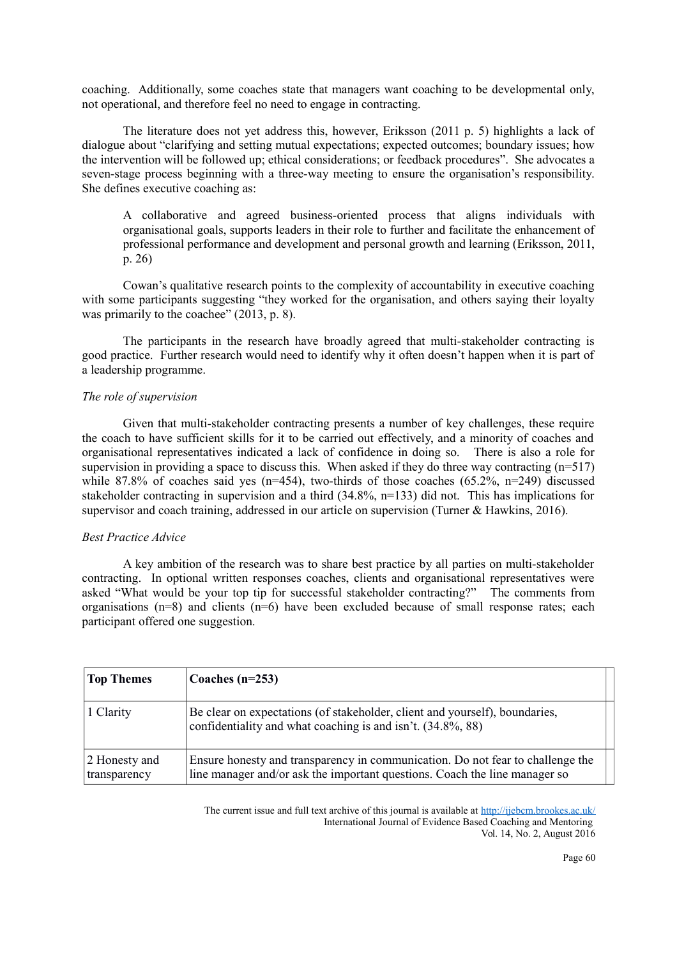coaching. Additionally, some coaches state that managers want coaching to be developmental only, not operational, and therefore feel no need to engage in contracting.

The literature does not yet address this, however, Eriksson (2011 p. 5) highlights a lack of dialogue about "clarifying and setting mutual expectations; expected outcomes; boundary issues; how the intervention will be followed up; ethical considerations; or feedback procedures". She advocates a seven-stage process beginning with a three-way meeting to ensure the organisation's responsibility. She defines executive coaching as:

A collaborative and agreed business-oriented process that aligns individuals with organisational goals, supports leaders in their role to further and facilitate the enhancement of professional performance and development and personal growth and learning (Eriksson, 2011, p. 26)

Cowan's qualitative research points to the complexity of accountability in executive coaching with some participants suggesting "they worked for the organisation, and others saying their loyalty was primarily to the coachee" (2013, p. 8).

The participants in the research have broadly agreed that multi-stakeholder contracting is good practice. Further research would need to identify why it often doesn't happen when it is part of a leadership programme.

#### *The role of supervision*

 Given that multi-stakeholder contracting presents a number of key challenges, these require the coach to have sufficient skills for it to be carried out effectively, and a minority of coaches and organisational representatives indicated a lack of confidence in doing so. There is also a role for supervision in providing a space to discuss this. When asked if they do three way contracting (n=517) while 87.8% of coaches said yes (n=454), two-thirds of those coaches  $(65.2\% , n=249)$  discussed stakeholder contracting in supervision and a third (34.8%, n=133) did not. This has implications for supervisor and coach training, addressed in our article on supervision (Turner & Hawkins, 2016).

#### *Best Practice Advice*

 A key ambition of the research was to share best practice by all parties on multi-stakeholder contracting. In optional written responses coaches, clients and organisational representatives were asked "What would be your top tip for successful stakeholder contracting?" The comments from organisations  $(n=8)$  and clients  $(n=6)$  have been excluded because of small response rates; each participant offered one suggestion.

| <b>Top Themes</b>             | Coaches $(n=253)$                                                                                                                                            |  |
|-------------------------------|--------------------------------------------------------------------------------------------------------------------------------------------------------------|--|
| 1 Clarity                     | Be clear on expectations (of stakeholder, client and yourself), boundaries,<br>confidentiality and what coaching is and isn't. (34.8%, 88)                   |  |
| 2 Honesty and<br>transparency | Ensure honesty and transparency in communication. Do not fear to challenge the<br>line manager and/or ask the important questions. Coach the line manager so |  |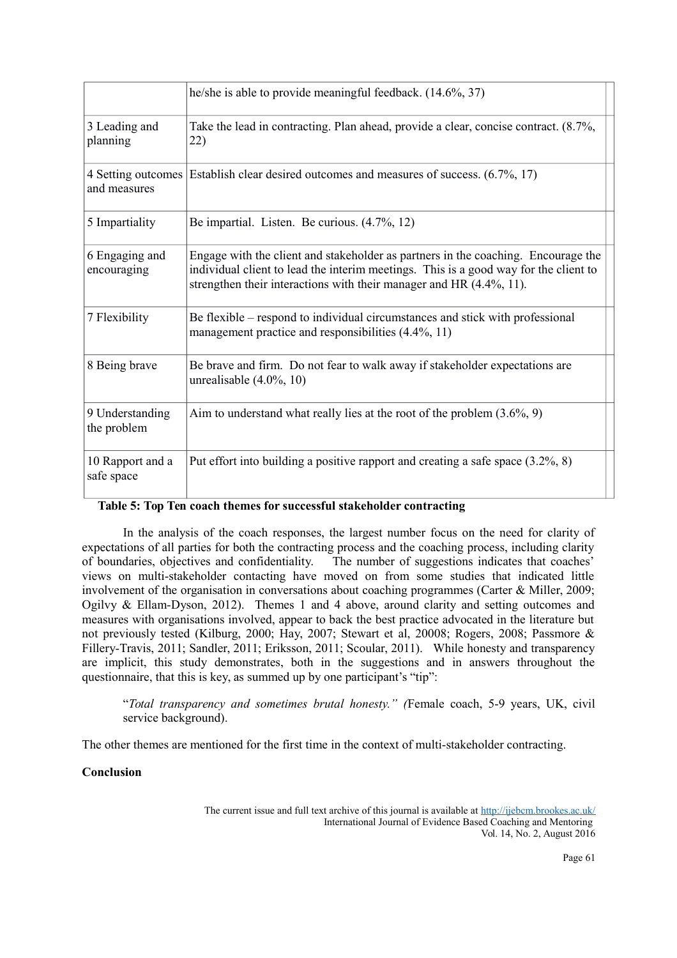|                                    | he/she is able to provide meaningful feedback. (14.6%, 37)                                                                                                                                                                                       |
|------------------------------------|--------------------------------------------------------------------------------------------------------------------------------------------------------------------------------------------------------------------------------------------------|
| 3 Leading and<br>planning          | Take the lead in contracting. Plan ahead, provide a clear, concise contract. (8.7%,<br>22)                                                                                                                                                       |
| 4 Setting outcomes<br>and measures | Establish clear desired outcomes and measures of success. (6.7%, 17)                                                                                                                                                                             |
| 5 Impartiality                     | Be impartial. Listen. Be curious. (4.7%, 12)                                                                                                                                                                                                     |
| 6 Engaging and<br>encouraging      | Engage with the client and stakeholder as partners in the coaching. Encourage the<br>individual client to lead the interim meetings. This is a good way for the client to<br>strengthen their interactions with their manager and HR (4.4%, 11). |
| 7 Flexibility                      | Be flexible – respond to individual circumstances and stick with professional<br>management practice and responsibilities (4.4%, 11)                                                                                                             |
| 8 Being brave                      | Be brave and firm. Do not fear to walk away if stakeholder expectations are<br>unrealisable $(4.0\%, 10)$                                                                                                                                        |
| 9 Understanding<br>the problem     | Aim to understand what really lies at the root of the problem $(3.6\%, 9)$                                                                                                                                                                       |
| 10 Rapport and a<br>safe space     | Put effort into building a positive rapport and creating a safe space $(3.2\%, 8)$                                                                                                                                                               |

## **Table 5: Top Ten coach themes for successful stakeholder contracting**

 In the analysis of the coach responses, the largest number focus on the need for clarity of expectations of all parties for both the contracting process and the coaching process, including clarity of boundaries, objectives and confidentiality. The number of suggestions indicates that coaches' views on multi-stakeholder contacting have moved on from some studies that indicated little involvement of the organisation in conversations about coaching programmes (Carter & Miller, 2009; Ogilvy & Ellam-Dyson, 2012). Themes 1 and 4 above, around clarity and setting outcomes and measures with organisations involved, appear to back the best practice advocated in the literature but not previously tested (Kilburg, 2000; Hay, 2007; Stewart et al, 20008; Rogers, 2008; Passmore & Fillery-Travis, 2011; Sandler, 2011; Eriksson, 2011; Scoular, 2011). While honesty and transparency are implicit, this study demonstrates, both in the suggestions and in answers throughout the questionnaire, that this is key, as summed up by one participant's "tip":

"*Total transparency and sometimes brutal honesty." (*Female coach, 5-9 years, UK, civil service background).

The other themes are mentioned for the first time in the context of multi-stakeholder contracting.

# **Conclusion**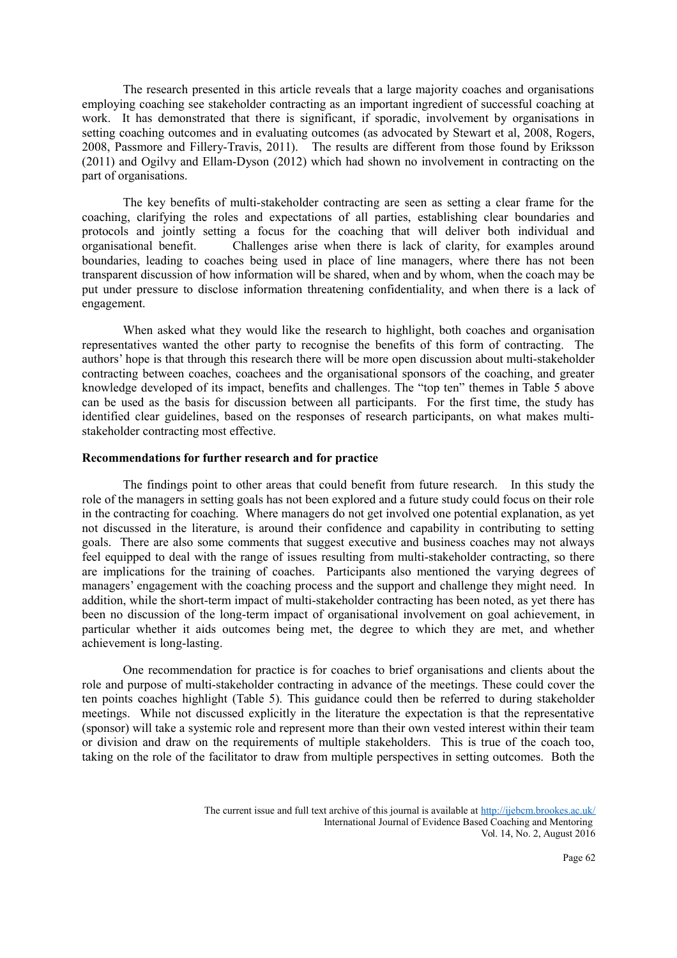The research presented in this article reveals that a large majority coaches and organisations employing coaching see stakeholder contracting as an important ingredient of successful coaching at work. It has demonstrated that there is significant, if sporadic, involvement by organisations in setting coaching outcomes and in evaluating outcomes (as advocated by Stewart et al, 2008, Rogers, 2008, Passmore and Fillery-Travis, 2011). The results are different from those found by Eriksson (2011) and Ogilvy and Ellam-Dyson (2012) which had shown no involvement in contracting on the part of organisations.

 The key benefits of multi-stakeholder contracting are seen as setting a clear frame for the coaching, clarifying the roles and expectations of all parties, establishing clear boundaries and protocols and jointly setting a focus for the coaching that will deliver both individual and organisational benefit. Challenges arise when there is lack of clarity, for examples around boundaries, leading to coaches being used in place of line managers, where there has not been transparent discussion of how information will be shared, when and by whom, when the coach may be put under pressure to disclose information threatening confidentiality, and when there is a lack of engagement.

 When asked what they would like the research to highlight, both coaches and organisation representatives wanted the other party to recognise the benefits of this form of contracting. The authors' hope is that through this research there will be more open discussion about multi-stakeholder contracting between coaches, coachees and the organisational sponsors of the coaching, and greater knowledge developed of its impact, benefits and challenges. The "top ten" themes in Table 5 above can be used as the basis for discussion between all participants. For the first time, the study has identified clear guidelines, based on the responses of research participants, on what makes multistakeholder contracting most effective.

#### **Recommendations for further research and for practice**

The findings point to other areas that could benefit from future research. In this study the role of the managers in setting goals has not been explored and a future study could focus on their role in the contracting for coaching. Where managers do not get involved one potential explanation, as yet not discussed in the literature, is around their confidence and capability in contributing to setting goals. There are also some comments that suggest executive and business coaches may not always feel equipped to deal with the range of issues resulting from multi-stakeholder contracting, so there are implications for the training of coaches. Participants also mentioned the varying degrees of managers' engagement with the coaching process and the support and challenge they might need. In addition, while the short-term impact of multi-stakeholder contracting has been noted, as yet there has been no discussion of the long-term impact of organisational involvement on goal achievement, in particular whether it aids outcomes being met, the degree to which they are met, and whether achievement is long-lasting.

One recommendation for practice is for coaches to brief organisations and clients about the role and purpose of multi-stakeholder contracting in advance of the meetings. These could cover the ten points coaches highlight (Table 5). This guidance could then be referred to during stakeholder meetings. While not discussed explicitly in the literature the expectation is that the representative (sponsor) will take a systemic role and represent more than their own vested interest within their team or division and draw on the requirements of multiple stakeholders. This is true of the coach too, taking on the role of the facilitator to draw from multiple perspectives in setting outcomes. Both the

The current issue and full text archive of this journal is available at<http://ijebcm.brookes.ac.uk/> International Journal of Evidence Based Coaching and Mentoring Vol. 14, No. 2, August 2016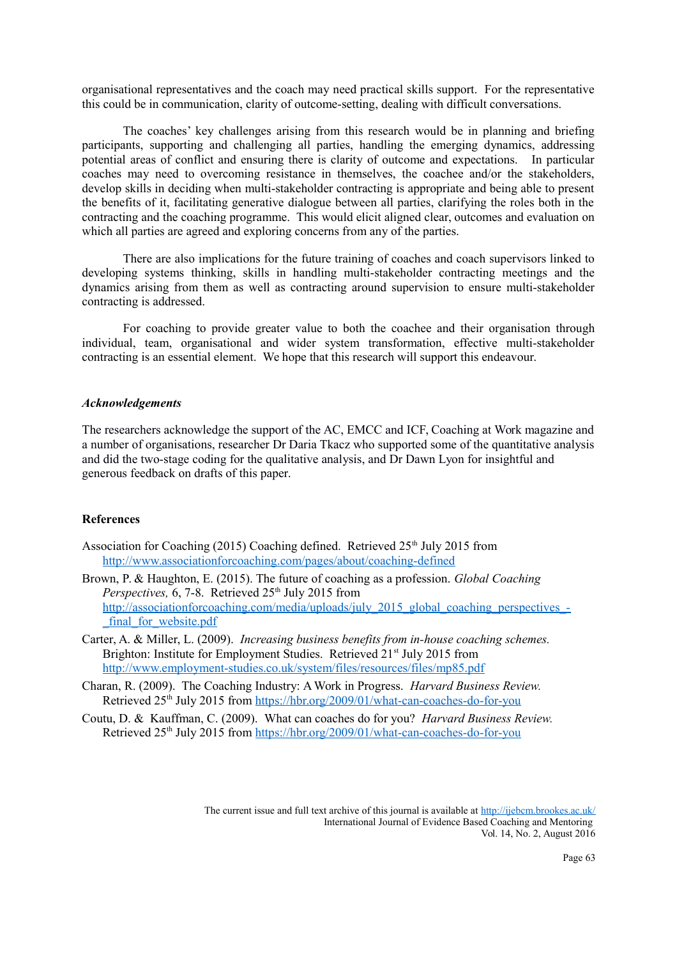organisational representatives and the coach may need practical skills support. For the representative this could be in communication, clarity of outcome-setting, dealing with difficult conversations.

 The coaches' key challenges arising from this research would be in planning and briefing participants, supporting and challenging all parties, handling the emerging dynamics, addressing potential areas of conflict and ensuring there is clarity of outcome and expectations. In particular coaches may need to overcoming resistance in themselves, the coachee and/or the stakeholders, develop skills in deciding when multi-stakeholder contracting is appropriate and being able to present the benefits of it, facilitating generative dialogue between all parties, clarifying the roles both in the contracting and the coaching programme. This would elicit aligned clear, outcomes and evaluation on which all parties are agreed and exploring concerns from any of the parties.

 There are also implications for the future training of coaches and coach supervisors linked to developing systems thinking, skills in handling multi-stakeholder contracting meetings and the dynamics arising from them as well as contracting around supervision to ensure multi-stakeholder contracting is addressed.

 For coaching to provide greater value to both the coachee and their organisation through individual, team, organisational and wider system transformation, effective multi-stakeholder contracting is an essential element. We hope that this research will support this endeavour.

## *Acknowledgements*

The researchers acknowledge the support of the AC, EMCC and ICF, Coaching at Work magazine and a number of organisations, researcher Dr Daria Tkacz who supported some of the quantitative analysis and did the two-stage coding for the qualitative analysis, and Dr Dawn Lyon for insightful and generous feedback on drafts of this paper.

#### **References**

- Association for Coaching (2015) Coaching defined. Retrieved  $25<sup>th</sup>$  July 2015 from <http://www.associationforcoaching.com/pages/about/coaching-defined>
- Brown, P. & Haughton, E. (2015). The future of coaching as a profession. *Global Coaching Perspectives,* 6, 7-8. Retrieved 25<sup>th</sup> July 2015 from [http://associationforcoaching.com/media/uploads/july\\_2015\\_global\\_coaching\\_perspectives\\_-](http://associationforcoaching.com/media/uploads/july_2015_global_coaching_perspectives_-_final_for_website.pdf) [\\_final\\_for\\_website.pdf](http://associationforcoaching.com/media/uploads/july_2015_global_coaching_perspectives_-_final_for_website.pdf)
- Carter, A. & Miller, L. (2009). *Increasing business benefits from in-house coaching schemes.* Brighton: Institute for Employment Studies. Retrieved 21<sup>st</sup> July 2015 from <http://www.employment-studies.co.uk/system/files/resources/files/mp85.pdf>
- Charan, R. (2009). The Coaching Industry: A Work in Progress. *Harvard Business Review.*  Retrieved 25<sup>th</sup> July 2015 from<https://hbr.org/2009/01/what-can-coaches-do-for-you>
- Coutu, D. & Kauffman, C. (2009). What can coaches do for you? *Harvard Business Review.*  Retrieved 25<sup>th</sup> July 2015 from<https://hbr.org/2009/01/what-can-coaches-do-for-you>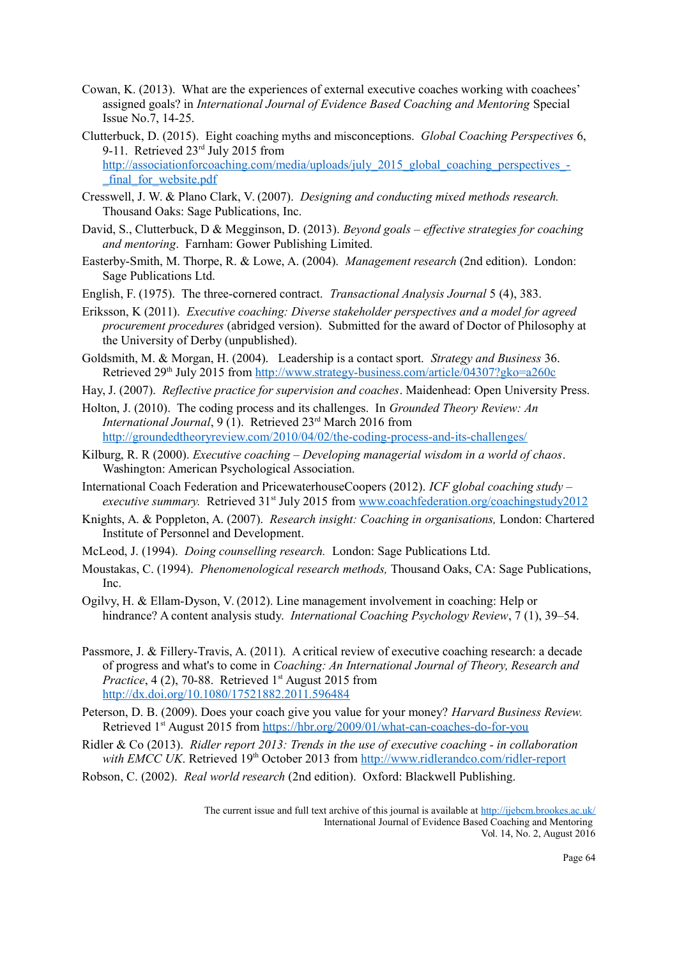- Cowan, K. (2013). What are the experiences of external executive coaches working with coachees' assigned goals? in *International Journal of Evidence Based Coaching and Mentoring* Special Issue No.7, 14-25.
- Clutterbuck, D. (2015). Eight coaching myths and misconceptions. *Global Coaching Perspectives* 6, 9-11. Retrieved  $23<sup>rd</sup>$  July 2015 from [http://associationforcoaching.com/media/uploads/july\\_2015\\_global\\_coaching\\_perspectives\\_-](http://associationforcoaching.com/media/uploads/july_2015_global_coaching_perspectives_-_final_for_website.pdf) [\\_final\\_for\\_website.pdf](http://associationforcoaching.com/media/uploads/july_2015_global_coaching_perspectives_-_final_for_website.pdf)
- Cresswell, J. W. & Plano Clark, V. (2007). *Designing and conducting mixed methods research.*  Thousand Oaks: Sage Publications, Inc.
- David, S., Clutterbuck, D & Megginson, D. (2013). *Beyond goals effective strategies for coaching and mentoring*. Farnham: Gower Publishing Limited.
- Easterby-Smith, M. Thorpe, R. & Lowe, A. (2004). *Management research* (2nd edition). London: Sage Publications Ltd.
- English, F. (1975). The three-cornered contract. *Transactional Analysis Journal* 5 (4), 383.
- Eriksson, K (2011). *Executive coaching: Diverse stakeholder perspectives and a model for agreed procurement procedures* (abridged version). Submitted for the award of Doctor of Philosophy at the University of Derby (unpublished).
- Goldsmith, M. & Morgan, H. (2004). Leadership is a contact sport. *Strategy and Business* 36. Retrieved 29<sup>th</sup> July 2015 from http://www.strategy-business.com/article/04307?gko=a260c
- Hay, J. (2007). *Reflective practice for supervision and coaches*. Maidenhead: Open University Press.
- Holton, J. (2010). The coding process and its challenges. In *Grounded Theory Review: An International Journal*, 9 (1). Retrieved 23rd March 2016 from <http://groundedtheoryreview.com/2010/04/02/the-coding-process-and-its-challenges/>
- Kilburg, R. R (2000). *Executive coaching Developing managerial wisdom in a world of chaos*. Washington: American Psychological Association.
- International Coach Federation and PricewaterhouseCoopers (2012). *ICF global coaching study executive summary.* Retrieved  $31<sup>st</sup>$  July 2015 from [www.coachfederation.org/coachingstudy2012](http://www.coachfederation.org/coachingstudy2012)
- Knights, A. & Poppleton, A. (2007). *Research insight: Coaching in organisations,* London: Chartered Institute of Personnel and Development.
- McLeod, J. (1994). *Doing counselling research.* London: Sage Publications Ltd.
- Moustakas, C. (1994). *Phenomenological research methods,* Thousand Oaks, CA: Sage Publications, Inc.
- Ogilvy, H. & Ellam-Dyson, V. (2012). Line management involvement in coaching: Help or hindrance? A content analysis study. *International Coaching Psychology Review*, 7 (1), 39–54.
- Passmore, J. & Fillery-Travis, A. (2011). A critical review of executive coaching research: a decade of progress and what's to come in *Coaching: An International Journal of Theory, Research and Practice*, 4 (2), 70-88. Retrieved 1<sup>st</sup> August 2015 from <http://dx.doi.org/10.1080/17521882.2011.596484>
- Peterson, D. B. (2009). Does your coach give you value for your money? *Harvard Business Review.*  Retrieved 1<sup>st</sup> August 2015 from<https://hbr.org/2009/01/what-can-coaches-do-for-you>
- Ridler & Co (2013). *Ridler report 2013: Trends in the use of executive coaching in collaboration with EMCC UK*. Retrieved 19<sup>th</sup> October 2013 from<http://www.ridlerandco.com/ridler-report>
- Robson, C. (2002). *Real world research* (2nd edition). Oxford: Blackwell Publishing.